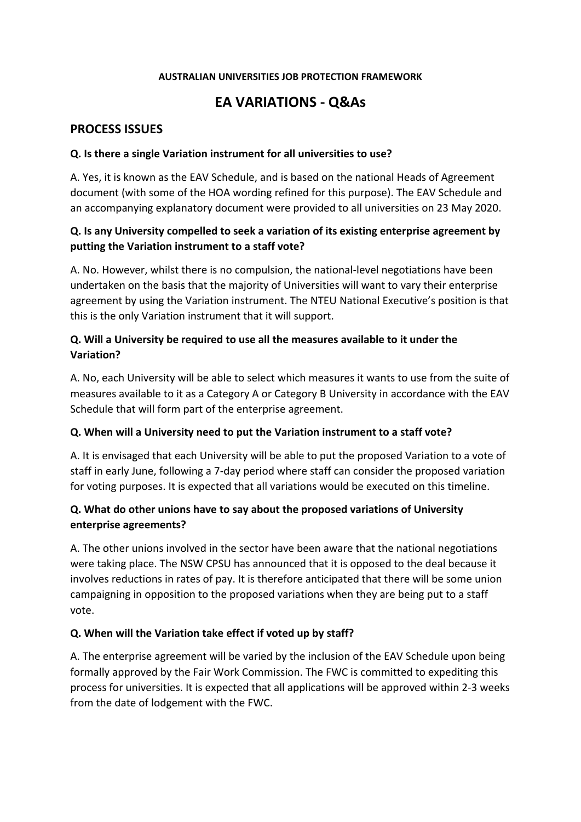#### **AUSTRALIAN UNIVERSITIES JOB PROTECTION FRAMEWORK**

# **EA VARIATIONS - Q&As**

### **PROCESS ISSUES**

#### **Q. Is there a single Variation instrument for all universities to use?**

A. Yes, it is known as the EAV Schedule, and is based on the national Heads of Agreement document (with some of the HOA wording refined for this purpose). The EAV Schedule and an accompanying explanatory document were provided to all universities on 23 May 2020.

### **Q. Is any University compelled to seek a variation of its existing enterprise agreement by putting the Variation instrument to a staff vote?**

A. No. However, whilst there is no compulsion, the national-level negotiations have been undertaken on the basis that the majority of Universities will want to vary their enterprise agreement by using the Variation instrument. The NTEU National Executive's position is that this is the only Variation instrument that it will support.

## **Q. Will a University be required to use all the measures available to it under the Variation?**

A. No, each University will be able to select which measures it wants to use from the suite of measures available to it as a Category A or Category B University in accordance with the EAV Schedule that will form part of the enterprise agreement.

#### **Q. When will a University need to put the Variation instrument to a staff vote?**

A. It is envisaged that each University will be able to put the proposed Variation to a vote of staff in early June, following a 7-day period where staff can consider the proposed variation for voting purposes. It is expected that all variations would be executed on this timeline.

## **Q. What do other unions have to say about the proposed variations of University enterprise agreements?**

A. The other unions involved in the sector have been aware that the national negotiations were taking place. The NSW CPSU has announced that it is opposed to the deal because it involves reductions in rates of pay. It is therefore anticipated that there will be some union campaigning in opposition to the proposed variations when they are being put to a staff vote.

#### **Q. When will the Variation take effect if voted up by staff?**

A. The enterprise agreement will be varied by the inclusion of the EAV Schedule upon being formally approved by the Fair Work Commission. The FWC is committed to expediting this process for universities. It is expected that all applications will be approved within 2-3 weeks from the date of lodgement with the FWC.